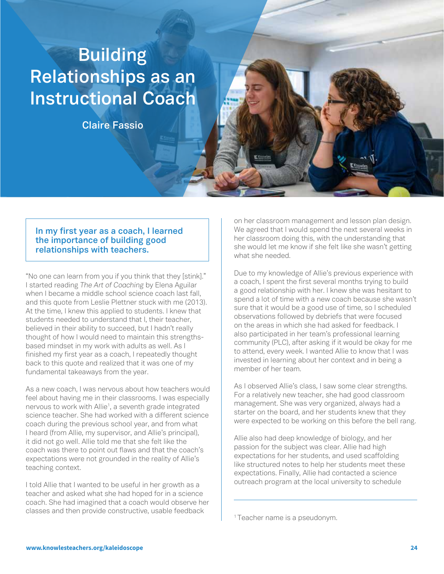# **Building Relationships as an Instructional Coach**

**Claire Fassio**

## **In my first year as a coach, I learned the importance of building good relationships with teachers.**

"No one can learn from you if you think that they [stink]." I started reading *The Art of Coaching* by Elena Aguilar when I became a middle school science coach last fall, and this quote from Leslie Plettner stuck with me (2013). At the time, I knew this applied to students. I knew that students needed to understand that I, their teacher, believed in their ability to succeed, but I hadn't really thought of how I would need to maintain this strengthsbased mindset in my work with adults as well. As I finished my first year as a coach, I repeatedly thought back to this quote and realized that it was one of my fundamental takeaways from the year.

As a new coach, I was nervous about how teachers would feel about having me in their classrooms. I was especially nervous to work with Allie<sup>1</sup>, a seventh grade integrated science teacher. She had worked with a different science coach during the previous school year, and from what I heard (from Allie, my supervisor, and Allie's principal), it did not go well. Allie told me that she felt like the coach was there to point out flaws and that the coach's expectations were not grounded in the reality of Allie's teaching context.

I told Allie that I wanted to be useful in her growth as a teacher and asked what she had hoped for in a science coach. She had imagined that a coach would observe her classes and then provide constructive, usable feedback

on her classroom management and lesson plan design. We agreed that I would spend the next several weeks in her classroom doing this, with the understanding that she would let me know if she felt like she wasn't getting what she needed.

Due to my knowledge of Allie's previous experience with a coach, I spent the first several months trying to build a good relationship with her. I knew she was hesitant to spend a lot of time with a new coach because she wasn't sure that it would be a good use of time, so I scheduled observations followed by debriefs that were focused on the areas in which she had asked for feedback. I also participated in her team's professional learning community (PLC), after asking if it would be okay for me to attend, every week. I wanted Allie to know that I was invested in learning about her context and in being a member of her team.

As I observed Allie's class, I saw some clear strengths. For a relatively new teacher, she had good classroom management. She was very organized, always had a starter on the board, and her students knew that they were expected to be working on this before the bell rang.

Allie also had deep knowledge of biology, and her passion for the subject was clear. Allie had high expectations for her students, and used scaffolding like structured notes to help her students meet these expectations. Finally, Allie had contacted a science outreach program at the local university to schedule

<sup>1</sup> Teacher name is a pseudonym.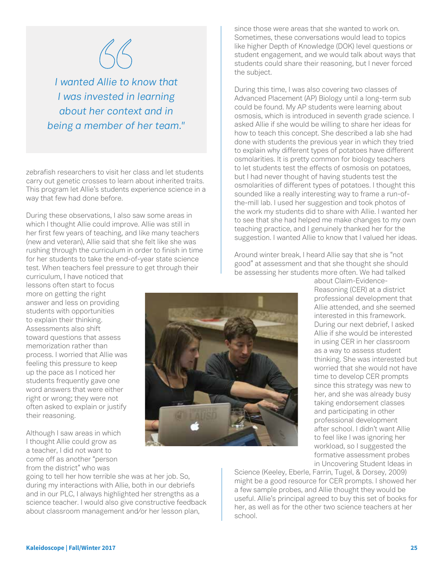

*I wanted Allie to know that I was invested in learning about her context and in being a member of her team."*

zebrafish researchers to visit her class and let students carry out genetic crosses to learn about inherited traits. This program let Allie's students experience science in a way that few had done before.

During these observations, I also saw some areas in which I thought Allie could improve. Allie was still in her first few years of teaching, and like many teachers (new and veteran), Allie said that she felt like she was rushing through the curriculum in order to finish in time for her students to take the end-of-year state science test. When teachers feel pressure to get through their

curriculum, I have noticed that lessons often start to focus more on getting the right answer and less on providing students with opportunities to explain their thinking. Assessments also shift toward questions that assess memorization rather than process. I worried that Allie was feeling this pressure to keep up the pace as I noticed her students frequently gave one word answers that were either right or wrong; they were not often asked to explain or justify their reasoning.

Although I saw areas in which I thought Allie could grow as a teacher, I did not want to come off as another "person from the district" who was

going to tell her how terrible she was at her job. So, during my interactions with Allie, both in our debriefs and in our PLC, I always highlighted her strengths as a science teacher. I would also give constructive feedback about classroom management and/or her lesson plan,

since those were areas that she wanted to work on. Sometimes, these conversations would lead to topics like higher Depth of Knowledge (DOK) level questions or student engagement, and we would talk about ways that students could share their reasoning, but I never forced the subject.

During this time, I was also covering two classes of Advanced Placement (AP) Biology until a long-term sub could be found. My AP students were learning about osmosis, which is introduced in seventh grade science. I asked Allie if she would be willing to share her ideas for how to teach this concept. She described a lab she had done with students the previous year in which they tried to explain why different types of potatoes have different osmolarities. It is pretty common for biology teachers to let students test the effects of osmosis on potatoes, but I had never thought of having students test the osmolarities of different types of potatoes. I thought this sounded like a really interesting way to frame a run-ofthe-mill lab. I used her suggestion and took photos of the work my students did to share with Allie. I wanted her to see that she had helped me make changes to my own teaching practice, and I genuinely thanked her for the suggestion. I wanted Allie to know that I valued her ideas.

Around winter break, I heard Allie say that she is "not good" at assessment and that she thought she should be assessing her students more often. We had talked



about Claim-Evidence-Reasoning (CER) at a district professional development that Allie attended, and she seemed interested in this framework. During our next debrief, I asked Allie if she would be interested in using CER in her classroom as a way to assess student thinking. She was interested but worried that she would not have time to develop CER prompts since this strategy was new to her, and she was already busy taking endorsement classes and participating in other professional development after school. I didn't want Allie to feel like I was ignoring her workload, so I suggested the formative assessment probes in Uncovering Student Ideas in

Science (Keeley, Eberle, Farrin, Tugel, & Dorsey, 2009) might be a good resource for CER prompts. I showed her a few sample probes, and Allie thought they would be useful. Allie's principal agreed to buy this set of books for her, as well as for the other two science teachers at her school.